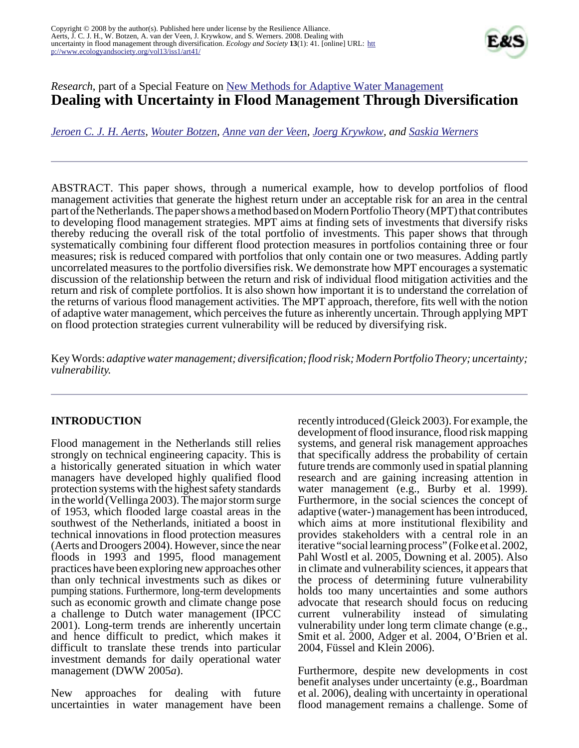

# *Research*, part of a Special Feature on [New Methods for Adaptive Water Management](http://www.ecologyandsociety.org/viewissue.php?sf=31) **Dealing with Uncertainty in Flood Management Through Diversification**

*[Jeroen C. J. H. Aerts,](mailto:jeroen.aerts@ivm.falw.vu.nl) [Wouter Botzen,](mailto:Wouter.Botzen@ivm.falw.vu.nl) [Anne van der Veen,](mailto:a.vanderveen@ctw.utwente.nl) [Joerg Krywkow,](mailto:j.krywkow@ctw.utwente.nl) and [Saskia Werners](mailto:Saskia.Werners@wur.nl)*

ABSTRACT. This paper shows, through a numerical example, how to develop portfolios of flood management activities that generate the highest return under an acceptable risk for an area in the central part of the Netherlands. The paper shows a method based on Modern Portfolio Theory (MPT) that contributes to developing flood management strategies. MPT aims at finding sets of investments that diversify risks thereby reducing the overall risk of the total portfolio of investments. This paper shows that through systematically combining four different flood protection measures in portfolios containing three or four measures; risk is reduced compared with portfolios that only contain one or two measures. Adding partly uncorrelated measures to the portfolio diversifies risk. We demonstrate how MPT encourages a systematic discussion of the relationship between the return and risk of individual flood mitigation activities and the return and risk of complete portfolios. It is also shown how important it is to understand the correlation of the returns of various flood management activities. The MPT approach, therefore, fits well with the notion of adaptive water management, which perceives the future as inherently uncertain. Through applying MPT on flood protection strategies current vulnerability will be reduced by diversifying risk.

Key Words: *adaptive water management; diversification; flood risk; Modern Portfolio Theory; uncertainty; vulnerability.*

## **INTRODUCTION**

Flood management in the Netherlands still relies strongly on technical engineering capacity. This is a historically generated situation in which water managers have developed highly qualified flood protection systems with the highest safety standards in the world (Vellinga 2003). The major storm surge of 1953, which flooded large coastal areas in the southwest of the Netherlands, initiated a boost in technical innovations in flood protection measures (Aerts and Droogers 2004). However, since the near floods in 1993 and 1995, flood management practices have been exploring new approaches other than only technical investments such as dikes or pumping stations. Furthermore, long-term developments such as economic growth and climate change pose a challenge to Dutch water management (IPCC 2001). Long-term trends are inherently uncertain and hence difficult to predict, which makes it difficult to translate these trends into particular investment demands for daily operational water management (DWW 2005*a*).

New approaches for dealing with future uncertainties in water management have been recently introduced (Gleick 2003). For example, the development of flood insurance, flood risk mapping systems, and general risk management approaches that specifically address the probability of certain future trends are commonly used in spatial planning research and are gaining increasing attention in water management (e.g., Burby et al. 1999). Furthermore, in the social sciences the concept of adaptive (water-) management has been introduced, which aims at more institutional flexibility and provides stakeholders with a central role in an iterative "social learning process" (Folke et al. 2002, Pahl Wostl et al. 2005, Downing et al. 2005). Also in climate and vulnerability sciences, it appears that the process of determining future vulnerability holds too many uncertainties and some authors advocate that research should focus on reducing current vulnerability instead of simulating vulnerability under long term climate change (e.g., Smit et al. 2000, Adger et al. 2004, O'Brien et al. 2004, Füssel and Klein 2006).

Furthermore, despite new developments in cost benefit analyses under uncertainty (e.g., Boardman et al. 2006), dealing with uncertainty in operational flood management remains a challenge. Some of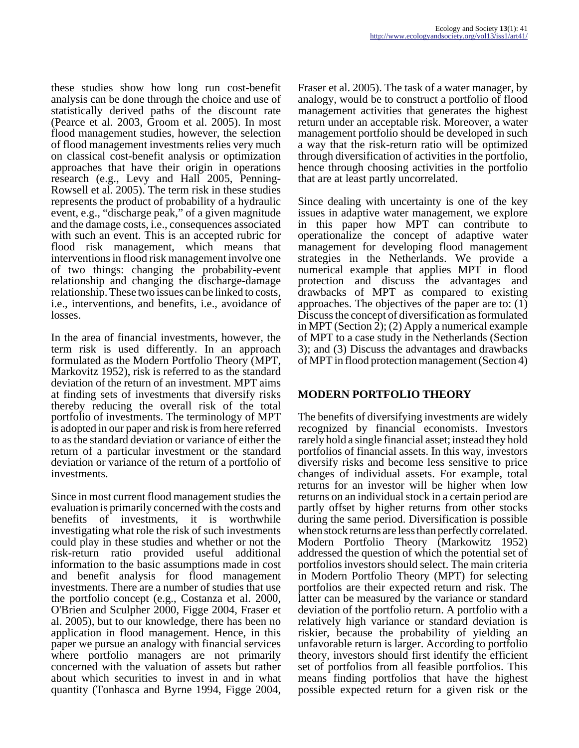these studies show how long run cost-benefit analysis can be done through the choice and use of statistically derived paths of the discount rate (Pearce et al. 2003, Groom et al. 2005). In most flood management studies, however, the selection of flood management investments relies very much on classical cost-benefit analysis or optimization approaches that have their origin in operations research (e.g., Levy and Hall 2005, Penning-Rowsell et al. 2005). The term risk in these studies represents the product of probability of a hydraulic event, e.g., "discharge peak," of a given magnitude and the damage costs, i.e., consequences associated with such an event. This is an accepted rubric for flood risk management, which means that interventions in flood risk management involve one of two things: changing the probability-event relationship and changing the discharge-damage relationship. These two issues can be linked to costs, i.e., interventions, and benefits, i.e., avoidance of losses.

In the area of financial investments, however, the term risk is used differently. In an approach formulated as the Modern Portfolio Theory (MPT, Markovitz 1952), risk is referred to as the standard deviation of the return of an investment. MPT aims at finding sets of investments that diversify risks thereby reducing the overall risk of the total portfolio of investments. The terminology of MPT is adopted in our paper and risk is from here referred to as the standard deviation or variance of either the return of a particular investment or the standard deviation or variance of the return of a portfolio of investments.

Since in most current flood management studies the evaluation is primarily concerned with the costs and benefits of investments, it is worthwhile investigating what role the risk of such investments could play in these studies and whether or not the risk-return ratio provided useful additional information to the basic assumptions made in cost and benefit analysis for flood management investments. There are a number of studies that use the portfolio concept (e.g., Costanza et al. 2000, O'Brien and Sculpher 2000, Figge 2004, Fraser et al. 2005), but to our knowledge, there has been no application in flood management. Hence, in this paper we pursue an analogy with financial services where portfolio managers are not primarily concerned with the valuation of assets but rather about which securities to invest in and in what quantity (Tonhasca and Byrne 1994, Figge 2004,

Fraser et al. 2005). The task of a water manager, by analogy, would be to construct a portfolio of flood management activities that generates the highest return under an acceptable risk. Moreover, a water management portfolio should be developed in such a way that the risk-return ratio will be optimized through diversification of activities in the portfolio, hence through choosing activities in the portfolio that are at least partly uncorrelated.

Since dealing with uncertainty is one of the key issues in adaptive water management, we explore in this paper how MPT can contribute to operationalize the concept of adaptive water management for developing flood management strategies in the Netherlands. We provide a numerical example that applies MPT in flood protection and discuss the advantages and drawbacks of MPT as compared to existing approaches. The objectives of the paper are to: (1) Discuss the concept of diversification as formulated in MPT (Section 2); (2) Apply a numerical example of MPT to a case study in the Netherlands (Section 3); and (3) Discuss the advantages and drawbacks of MPT in flood protection management (Section 4)

## **MODERN PORTFOLIO THEORY**

The benefits of diversifying investments are widely recognized by financial economists. Investors rarely hold a single financial asset; instead they hold portfolios of financial assets. In this way, investors diversify risks and become less sensitive to price changes of individual assets. For example, total returns for an investor will be higher when low returns on an individual stock in a certain period are partly offset by higher returns from other stocks during the same period. Diversification is possible when stock returns are less than perfectly correlated. Modern Portfolio Theory (Markowitz 1952) addressed the question of which the potential set of portfolios investors should select. The main criteria in Modern Portfolio Theory (MPT) for selecting portfolios are their expected return and risk. The latter can be measured by the variance or standard deviation of the portfolio return. A portfolio with a relatively high variance or standard deviation is riskier, because the probability of yielding an unfavorable return is larger. According to portfolio theory, investors should first identify the efficient set of portfolios from all feasible portfolios. This means finding portfolios that have the highest possible expected return for a given risk or the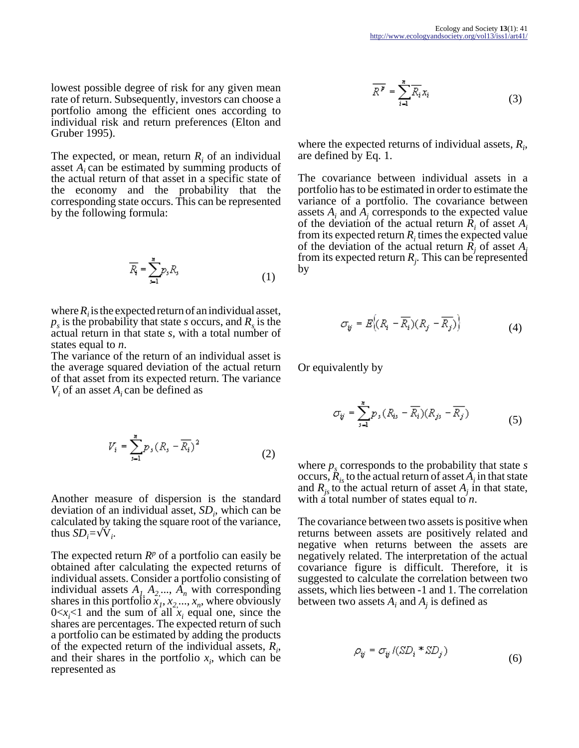lowest possible degree of risk for any given mean rate of return. Subsequently, investors can choose a portfolio among the efficient ones according to individual risk and return preferences (Elton and Gruber 1995).

The expected, or mean, return  $R_i$  of an individual asset  $A_i$  can be estimated by summing products of the actual return of that asset in a specific state of the economy and the probability that the corresponding state occurs. This can be represented by the following formula:

$$
\overline{R_i} = \sum_{s=1}^{n} p_s R_s \tag{1}
$$

where  $R_i$  is the expected return of an individual asset,  $p_s$  is the probability that state *s* occurs, and  $R_s$  is the actual return in that state *s,* with a total number of states equal to *n*.

The variance of the return of an individual asset is the average squared deviation of the actual return of that asset from its expected return. The variance  $V_i$  of an asset  $A_i$  can be defined as

$$
V_i = \sum_{s=1}^{n} p_s (R_s - \overline{R_i})^2
$$
 (2)

Another measure of dispersion is the standard deviation of an individual asset, *SD<sup>i</sup>* , which can be calculated by taking the square root of the variance, thus  $SD_i = \sqrt{V_i}$ .

The expected return  $R^p$  of a portfolio can easily be obtained after calculating the expected returns of individual assets. Consider a portfolio consisting of individual assets  $A_1, A_2, \dots, A_n$  with corresponding shares in this portfolio  $\vec{x}_1, \vec{x}_2, \dots, \vec{x}_n$ , where obviously  $0 \le x_i \le 1$  and the sum of all  $x_i$  equal one, since the shares are percentages. The expected return of such a portfolio can be estimated by adding the products of the expected return of the individual assets, *R<sup>i</sup>* , and their shares in the portfolio  $x_i$ , which can be represented as

$$
\overline{R^{\mu}} = \sum_{i=1}^{n} \overline{R_i} x_i
$$
 (3)

where the expected returns of individual assets, *R<sup>i</sup>* , are defined by Eq. 1.

The covariance between individual assets in a portfolio has to be estimated in order to estimate the variance of a portfolio. The covariance between assets  $A_i$  and  $A_j$  corresponds to the expected value of the deviation of the actual return  $\overline{R}_i$  of asset  $A_i$ from its expected return  $R_i$  times the expected value of the deviation of the actual return  $\overline{R}_j$  of asset  $A_j$ from its expected return  $R_j$ . This can be represented by

$$
\sigma_{ij} = E\left((R_i - \overline{R_i})(R_j - \overline{R_j})\right) \tag{4}
$$

Or equivalently by

$$
\sigma_{ij} = \sum_{s=1}^{n} p_s (R_{is} - \overline{R_i}) (R_{js} - \overline{R_j}) \tag{5}
$$

where  $p_s$  corresponds to the probability that state  $s$ occurs,  $\ddot{R}_{is}$  to the actual return of asset  $A_i$  in that state and  $R_{j<sub>s</sub>}$  to the actual return of asset  $A_j$  in that state, with a total number of states equal to *n*.

The covariance between two assets is positive when returns between assets are positively related and negative when returns between the assets are negatively related. The interpretation of the actual covariance figure is difficult. Therefore, it is suggested to calculate the correlation between two assets, which lies between -1 and 1. The correlation between two assets  $A_i$  and  $A_j$  is defined as

$$
\rho_{ij} = \sigma_{ij} / (SD_i * SD_j) \tag{6}
$$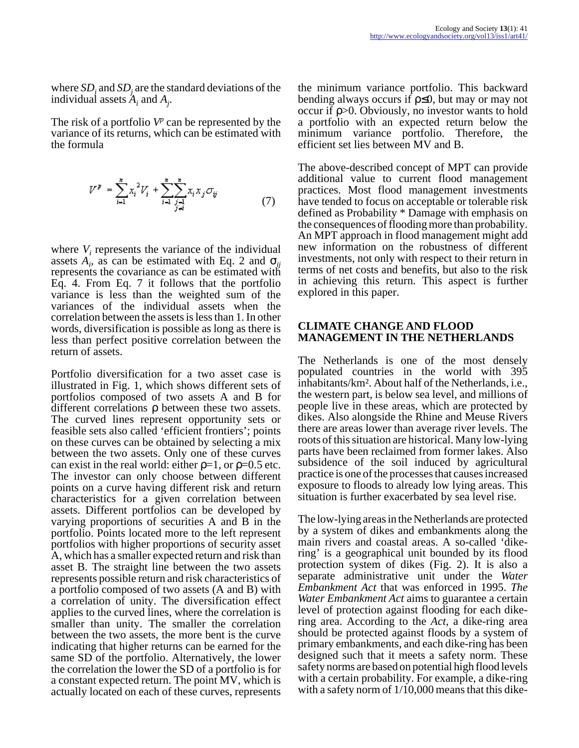where  $SD<sub>i</sub>$  and  $SD<sub>j</sub>$  are the standard deviations of the individual assets  $A_i$  and  $A_j$ .

The risk of a portfolio  $V^p$  can be represented by the variance of its returns, which can be estimated with the formula

$$
V^{p} = \sum_{i=1}^{n} x_i^2 V_i + \sum_{i=1}^{n} \sum_{\substack{j=1 \ j \neq i}}^{n} x_i x_j \sigma_{ij}
$$
 (7)

where  $V_i$  represents the variance of the individual assets  $A_i$ , as can be estimated with Eq. 2 and  $\sigma_{ij}$ represents the covariance as can be estimated with Eq. 4. From Eq. 7 it follows that the portfolio variance is less than the weighted sum of the variances of the individual assets when the correlation between the assets is less than 1. In other words, diversification is possible as long as there is less than perfect positive correlation between the return of assets.

Portfolio diversification for a two asset case is illustrated in Fig. 1, which shows different sets of portfolios composed of two assets A and B for different correlations ρ between these two assets. The curved lines represent opportunity sets or feasible sets also called 'efficient frontiers'; points on these curves can be obtained by selecting a mix between the two assets. Only one of these curves can exist in the real world: either  $\rho=1$ , or  $\rho=0.5$  etc. The investor can only choose between different points on a curve having different risk and return characteristics for a given correlation between assets. Different portfolios can be developed by varying proportions of securities A and B in the portfolio. Points located more to the left represent portfolios with higher proportions of security asset A, which has a smaller expected return and risk than asset B. The straight line between the two assets represents possible return and risk characteristics of a portfolio composed of two assets (A and B) with a correlation of unity. The diversification effect applies to the curved lines, where the correlation is smaller than unity. The smaller the correlation between the two assets, the more bent is the curve indicating that higher returns can be earned for the same SD of the portfolio. Alternatively, the lower the correlation the lower the SD of a portfolio is for a constant expected return. The point MV, which is actually located on each of these curves, represents

the minimum variance portfolio. This backward bending always occurs if  $\rho \leq 0$ , but may or may not occur if ρ>0. Obviously, no investor wants to hold a portfolio with an expected return below the minimum variance portfolio. Therefore, the efficient set lies between MV and B.

The above-described concept of MPT can provide additional value to current flood management practices. Most flood management investments have tended to focus on acceptable or tolerable risk defined as Probability \* Damage with emphasis on the consequences of flooding more than probability. An MPT approach in flood management might add new information on the robustness of different investments, not only with respect to their return in terms of net costs and benefits, but also to the risk in achieving this return. This aspect is further explored in this paper.

#### **CLIMATE CHANGE AND FLOOD MANAGEMENT IN THE NETHERLANDS**

The Netherlands is one of the most densely populated countries in the world with 395 inhabitants/km². About half of the Netherlands, i.e., the western part, is below sea level, and millions of people live in these areas, which are protected by dikes. Also alongside the Rhine and Meuse Rivers there are areas lower than average river levels. The roots of this situation are historical. Many low-lying parts have been reclaimed from former lakes. Also subsidence of the soil induced by agricultural practice is one of the processes that causes increased exposure to floods to already low lying areas. This situation is further exacerbated by sea level rise.

The low-lying areas in the Netherlands are protected by a system of dikes and embankments along the main rivers and coastal areas. A so-called 'dikering' is a geographical unit bounded by its flood protection system of dikes (Fig. 2). It is also a separate administrative unit under the *Water Embankment Act* that was enforced in 1995. *The Water Embankment Act* aims to guarantee a certain level of protection against flooding for each dikering area. According to the *Act,* a dike-ring area should be protected against floods by a system of primary embankments, and each dike-ring has been designed such that it meets a safety norm. These safety norms are based on potential high flood levels with a certain probability. For example, a dike-ring with a safety norm of 1/10,000 means that this dike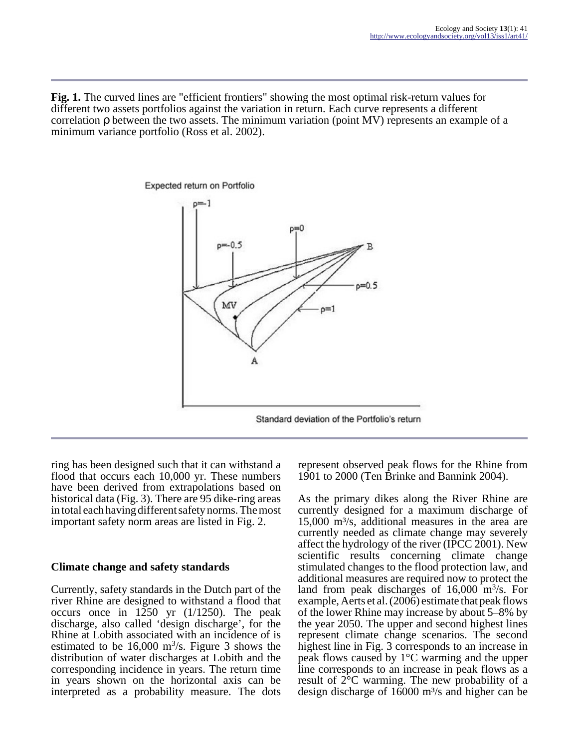**Fig. 1.** The curved lines are "efficient frontiers" showing the most optimal risk-return values for different two assets portfolios against the variation in return. Each curve represents a different correlation ρ between the two assets. The minimum variation (point MV) represents an example of a minimum variance portfolio (Ross et al. 2002).

Expected return on Portfolio



ring has been designed such that it can withstand a flood that occurs each 10,000 yr. These numbers have been derived from extrapolations based on historical data (Fig. 3). There are 95 dike-ring areas in total each having different safety norms. The most important safety norm areas are listed in Fig. 2.

## **Climate change and safety standards**

Currently, safety standards in the Dutch part of the river Rhine are designed to withstand a flood that occurs once in 1250 yr (1/1250). The peak discharge, also called 'design discharge', for the Rhine at Lobith associated with an incidence of is estimated to be  $16,000 \text{ m}^3/\text{s}$ . Figure 3 shows the distribution of water discharges at Lobith and the corresponding incidence in years. The return time in years shown on the horizontal axis can be interpreted as a probability measure. The dots

represent observed peak flows for the Rhine from 1901 to 2000 (Ten Brinke and Bannink 2004).

As the primary dikes along the River Rhine are currently designed for a maximum discharge of  $15,000$  m<sup>3</sup>/s, additional measures in the area are currently needed as climate change may severely affect the hydrology of the river (IPCC 2001). New scientific results concerning climate change stimulated changes to the flood protection law, and additional measures are required now to protect the land from peak discharges of  $16,000 \text{ m}^3\text{/s}$ . For example, Aerts et al. (2006) estimate that peak flows of the lower Rhine may increase by about 5–8% by the year 2050. The upper and second highest lines represent climate change scenarios. The second highest line in Fig. 3 corresponds to an increase in peak flows caused by 1°C warming and the upper line corresponds to an increase in peak flows as a result of 2°C warming. The new probability of a design discharge of 16000 m<sup>3</sup>/s and higher can be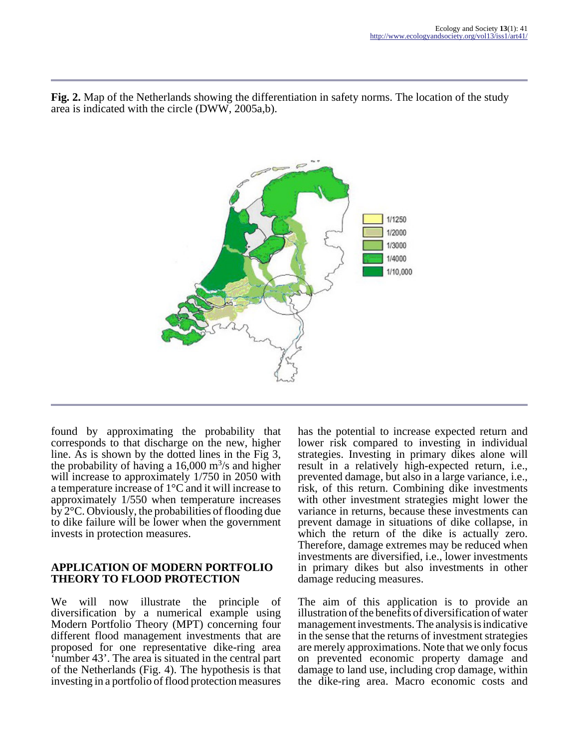**Fig. 2.** Map of the Netherlands showing the differentiation in safety norms. The location of the study area is indicated with the circle (DWW, 2005a,b).



found by approximating the probability that corresponds to that discharge on the new, higher line. As is shown by the dotted lines in the Fig 3, the probability of having a  $16,000$  m<sup>3</sup>/s and higher will increase to approximately  $1/750$  in 2050 with a temperature increase of 1°C and it will increase to approximately 1/550 when temperature increases by 2°C. Obviously, the probabilities of flooding due to dike failure will be lower when the government invests in protection measures.

#### **APPLICATION OF MODERN PORTFOLIO THEORY TO FLOOD PROTECTION**

We will now illustrate the principle of diversification by a numerical example using Modern Portfolio Theory (MPT) concerning four different flood management investments that are proposed for one representative dike-ring area 'number 43'. The area is situated in the central part of the Netherlands (Fig. 4). The hypothesis is that investing in a portfolio of flood protection measures

has the potential to increase expected return and lower risk compared to investing in individual strategies. Investing in primary dikes alone will result in a relatively high-expected return, i.e., prevented damage, but also in a large variance, i.e., risk, of this return. Combining dike investments with other investment strategies might lower the variance in returns, because these investments can prevent damage in situations of dike collapse, in which the return of the dike is actually zero. Therefore, damage extremes may be reduced when investments are diversified, i.e., lower investments in primary dikes but also investments in other damage reducing measures.

The aim of this application is to provide an illustration of the benefits of diversification of water management investments. The analysis is indicative in the sense that the returns of investment strategies are merely approximations. Note that we only focus on prevented economic property damage and damage to land use, including crop damage, within the dike-ring area. Macro economic costs and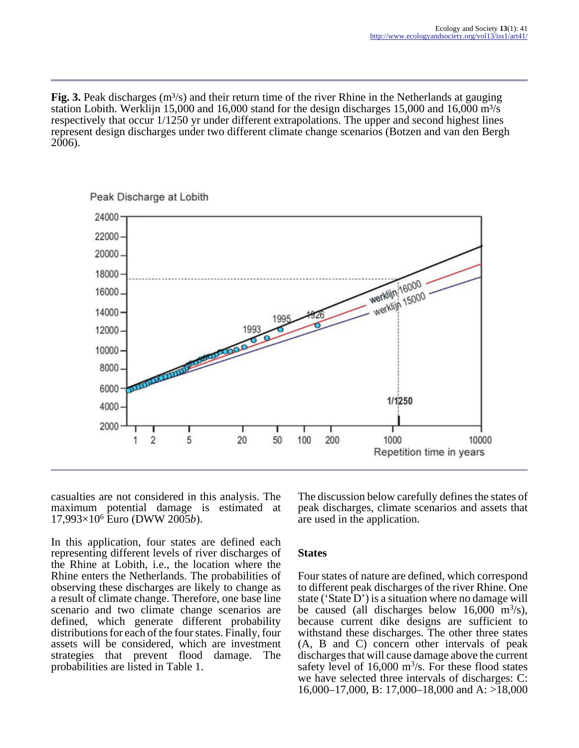**Fig. 3.** Peak discharges (m<sup>3</sup>/s) and their return time of the river Rhine in the Netherlands at gauging station Lobith. Werklijn 15,000 and 16,000 stand for the design discharges 15,000 and 16,000 m<sup>3</sup>/s respectively that occur 1/1250 yr under different extrapolations. The upper and second highest lines represent design discharges under two different climate change scenarios (Botzen and van den Bergh 2006).



casualties are not considered in this analysis. The maximum potential damage is estimated at 17,993×10<sup>6</sup> Euro (DWW 2005*b*).

In this application, four states are defined each representing different levels of river discharges of the Rhine at Lobith, i.e., the location where the Rhine enters the Netherlands. The probabilities of observing these discharges are likely to change as a result of climate change. Therefore, one base line scenario and two climate change scenarios are defined, which generate different probability distributions for each of the four states. Finally, four assets will be considered, which are investment strategies that prevent flood damage. The probabilities are listed in Table 1.

The discussion below carefully defines the states of peak discharges, climate scenarios and assets that are used in the application.

## **States**

Four states of nature are defined, which correspond to different peak discharges of the river Rhine. One state ('State D') is a situation where no damage will be caused (all discharges below  $16,000 \text{ m}^3\text{/s}$ ), because current dike designs are sufficient to withstand these discharges. The other three states (A, B and C) concern other intervals of peak discharges that will cause damage above the current safety level of  $16,000$  m<sup>3</sup>/s. For these flood states we have selected three intervals of discharges: C: 16,000–17,000, B: 17,000–18,000 and A: >18,000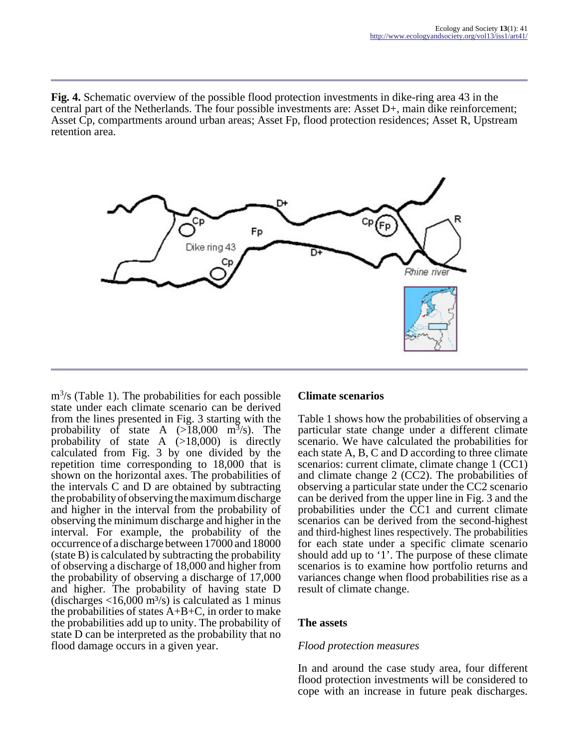**Fig. 4.** Schematic overview of the possible flood protection investments in dike-ring area 43 in the central part of the Netherlands. The four possible investments are: Asset D+, main dike reinforcement; Asset Cp, compartments around urban areas; Asset Fp, flood protection residences; Asset R, Upstream retention area.



m<sup>3</sup> /s (Table 1). The probabilities for each possible state under each climate scenario can be derived from the lines presented in Fig. 3 starting with the probability of state A  $(>\!\!18,000 \; \mathrm{m}^3/\mathrm{s})$ . The probability of state A  $(>18,000)$  is directly calculated from Fig. 3 by one divided by the repetition time corresponding to 18,000 that is shown on the horizontal axes. The probabilities of the intervals C and D are obtained by subtracting the probability of observing the maximum discharge and higher in the interval from the probability of observing the minimum discharge and higher in the interval. For example, the probability of the occurrence of a discharge between 17000 and 18000 (state B) is calculated by subtracting the probability of observing a discharge of 18,000 and higher from the probability of observing a discharge of 17,000 and higher. The probability of having state D (discharges  $\langle 16,000 \text{ m}^3 \rangle$ ) is calculated as 1 minus the probabilities of states  $A+B+C$ , in order to make the probabilities add up to unity. The probability of state D can be interpreted as the probability that no flood damage occurs in a given year.

#### **Climate scenarios**

Table 1 shows how the probabilities of observing a particular state change under a different climate scenario. We have calculated the probabilities for each state A, B, C and D according to three climate scenarios: current climate, climate change 1 (CC1) and climate change 2 (CC2). The probabilities of observing a particular state under the CC2 scenario can be derived from the upper line in Fig. 3 and the probabilities under the CC1 and current climate scenarios can be derived from the second-highest and third-highest lines respectively. The probabilities for each state under a specific climate scenario should add up to '1'. The purpose of these climate scenarios is to examine how portfolio returns and variances change when flood probabilities rise as a result of climate change.

#### **The assets**

#### *Flood protection measures*

In and around the case study area, four different flood protection investments will be considered to cope with an increase in future peak discharges.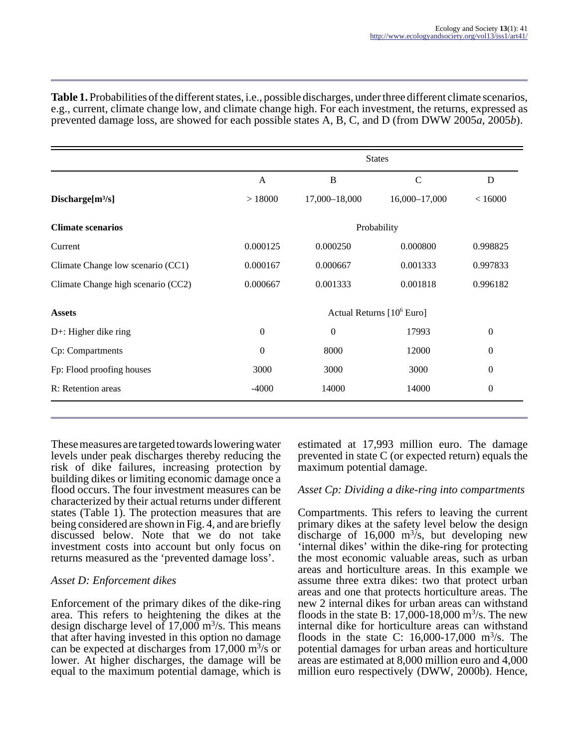|                                    | <b>States</b>                         |                  |               |                  |  |
|------------------------------------|---------------------------------------|------------------|---------------|------------------|--|
|                                    | A                                     | B                | $\mathbf C$   | D                |  |
| Discharge[m <sup>3</sup> /s]       | >18000                                | 17,000-18,000    | 16,000-17,000 | < 16000          |  |
| <b>Climate scenarios</b>           | Probability                           |                  |               |                  |  |
| Current                            | 0.000125                              | 0.000250         | 0.000800      | 0.998825         |  |
| Climate Change low scenario (CC1)  | 0.000167                              | 0.000667         | 0.001333      | 0.997833         |  |
| Climate Change high scenario (CC2) | 0.000667                              | 0.001333         | 0.001818      | 0.996182         |  |
| <b>Assets</b>                      | Actual Returns [10 <sup>6</sup> Euro] |                  |               |                  |  |
| D+: Higher dike ring               | $\theta$                              | $\boldsymbol{0}$ | 17993         | $\theta$         |  |
| Cp: Compartments                   | $\overline{0}$                        | 8000             | 12000         | $\boldsymbol{0}$ |  |
| Fp: Flood proofing houses          | 3000                                  | 3000             | 3000          | $\boldsymbol{0}$ |  |
| R: Retention areas                 | $-4000$                               | 14000            | 14000         | $\boldsymbol{0}$ |  |

**Table 1.** Probabilities of the different states, i.e., possible discharges, under three different climate scenarios, e.g., current, climate change low, and climate change high. For each investment, the returns, expressed as prevented damage loss, are showed for each possible states A, B, C, and D (from DWW 2005*a*, 2005*b*).

These measures are targeted towards lowering water levels under peak discharges thereby reducing the risk of dike failures, increasing protection by building dikes or limiting economic damage once a flood occurs. The four investment measures can be characterized by their actual returns under different states (Table 1). The protection measures that are being considered are shown in Fig. 4, and are briefly discussed below. Note that we do not take investment costs into account but only focus on returns measured as the 'prevented damage loss'.

## *Asset D: Enforcement dikes*

Enforcement of the primary dikes of the dike-ring area. This refers to heightening the dikes at the design discharge level of 17,000  $\mathrm{m}^3$ /s. This means that after having invested in this option no damage can be expected at discharges from  $17,000$  m<sup>3</sup>/s or lower. At higher discharges, the damage will be equal to the maximum potential damage, which is estimated at 17,993 million euro. The damage prevented in state C (or expected return) equals the maximum potential damage.

## *Asset Cp: Dividing a dike-ring into compartments*

Compartments. This refers to leaving the current primary dikes at the safety level below the design discharge of  $16,000$  m<sup>3</sup>/s, but developing new 'internal dikes' within the dike-ring for protecting the most economic valuable areas, such as urban areas and horticulture areas. In this example we assume three extra dikes: two that protect urban areas and one that protects horticulture areas. The new 2 internal dikes for urban areas can withstand floods in the state B:  $17,000 - 18,000$  m<sup>3</sup>/s. The new internal dike for horticulture areas can withstand floods in the state C:  $16,000-17,000$  m<sup>3</sup>/s. The potential damages for urban areas and horticulture areas are estimated at 8,000 million euro and 4,000 million euro respectively (DWW, 2000b). Hence,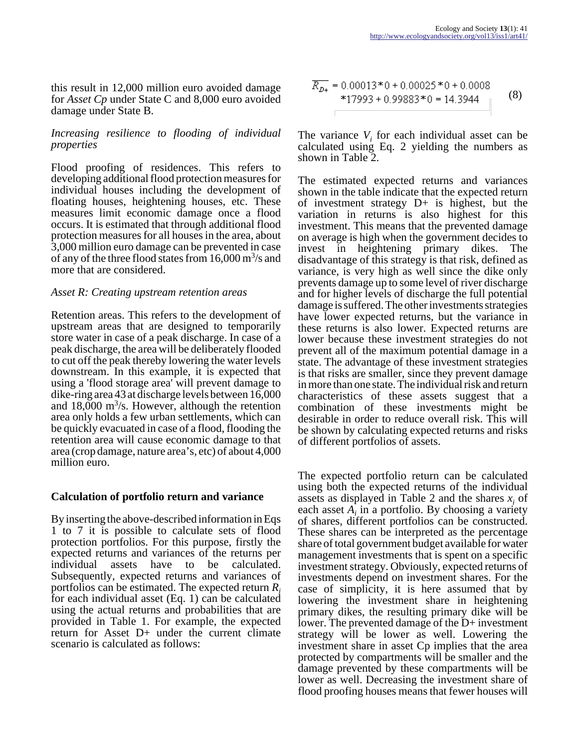this result in 12,000 million euro avoided damage for *Asset Cp* under State C and 8,000 euro avoided damage under State B.

*Increasing resilience to flooding of individual properties*

Flood proofing of residences. This refers to developing additional flood protection measures for individual houses including the development of floating houses, heightening houses, etc. These measures limit economic damage once a flood occurs. It is estimated that through additional flood protection measures for all houses in the area, about 3,000 million euro damage can be prevented in case of any of the three flood states from  $16,000 \text{ m}^3$ /s and more that are considered.

#### *Asset R: Creating upstream retention areas*

Retention areas. This refers to the development of upstream areas that are designed to temporarily store water in case of a peak discharge. In case of a peak discharge, the area will be deliberately flooded to cut off the peak thereby lowering the water levels downstream. In this example, it is expected that using a 'flood storage area' will prevent damage to dike-ring area 43 at discharge levels between 16,000 and  $18,000$  m<sup>3</sup>/s. However, although the retention area only holds a few urban settlements, which can be quickly evacuated in case of a flood, flooding the retention area will cause economic damage to that area (crop damage, nature area's, etc) of about 4,000 million euro.

## **Calculation of portfolio return and variance**

By inserting the above-described information in Eqs 1 to 7 it is possible to calculate sets of flood protection portfolios. For this purpose, firstly the expected returns and variances of the returns per individual assets have to be calculated. Subsequently, expected returns and variances of portfolios can be estimated. The expected return *R<sup>i</sup>* for each individual asset (Eq. 1) can be calculated using the actual returns and probabilities that are provided in Table 1. For example, the expected return for Asset D+ under the current climate scenario is calculated as follows:

$$
\overline{R_{D+}} = 0.00013*0+0.00025*0+0.0008
$$
  
\*17993+0.99883\*0 = 14.3944 (8)

The variance  $V_i$  for each individual asset can be calculated using Eq. 2 yielding the numbers as shown in Table 2.

The estimated expected returns and variances shown in the table indicate that the expected return of investment strategy D+ is highest, but the variation in returns is also highest for this investment. This means that the prevented damage on average is high when the government decides to invest in heightening primary dikes. The disadvantage of this strategy is that risk, defined as variance, is very high as well since the dike only prevents damage up to some level of river discharge and for higher levels of discharge the full potential damage is suffered. The other investments strategies have lower expected returns, but the variance in these returns is also lower. Expected returns are lower because these investment strategies do not prevent all of the maximum potential damage in a state. The advantage of these investment strategies is that risks are smaller, since they prevent damage in more than one state. The individual risk and return characteristics of these assets suggest that a combination of these investments might be desirable in order to reduce overall risk. This will be shown by calculating expected returns and risks of different portfolios of assets.

The expected portfolio return can be calculated using both the expected returns of the individual assets as displayed in Table 2 and the shares  $x_i$  of each asset  $A_i$  in a portfolio. By choosing a variety of shares, different portfolios can be constructed. These shares can be interpreted as the percentage share of total government budget available for water management investments that is spent on a specific investment strategy. Obviously, expected returns of investments depend on investment shares. For the case of simplicity, it is here assumed that by lowering the investment share in heightening primary dikes, the resulting primary dike will be lower. The prevented damage of the D+ investment strategy will be lower as well. Lowering the investment share in asset Cp implies that the area protected by compartments will be smaller and the damage prevented by these compartments will be lower as well. Decreasing the investment share of flood proofing houses means that fewer houses will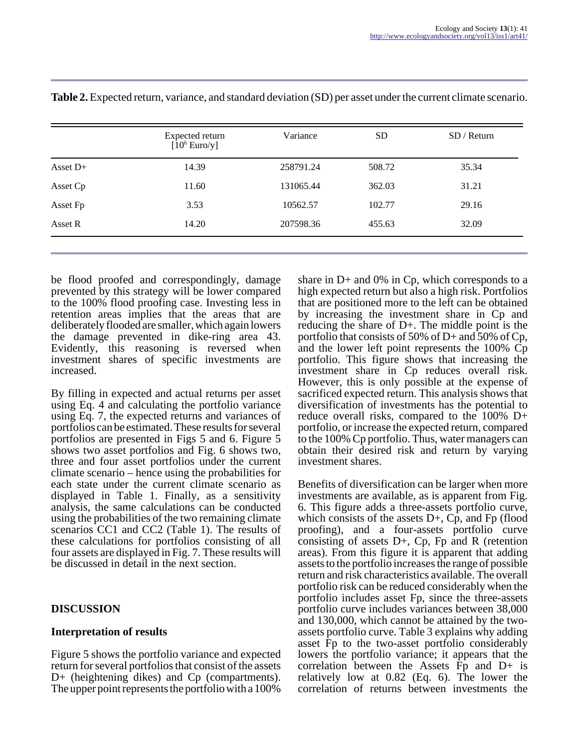|            | Expected return $[10^6$ Euro/y] | Variance  | SD.    | SD / Return |
|------------|---------------------------------|-----------|--------|-------------|
| Asset $D+$ | 14.39                           | 258791.24 | 508.72 | 35.34       |
| Asset Cp   | 11.60                           | 131065.44 | 362.03 | 31.21       |
| Asset Fp   | 3.53                            | 10562.57  | 102.77 | 29.16       |
| Asset R    | 14.20                           | 207598.36 | 455.63 | 32.09       |

**Table 2.** Expected return, variance, and standard deviation (SD) per asset under the current climate scenario.

be flood proofed and correspondingly, damage prevented by this strategy will be lower compared to the 100% flood proofing case. Investing less in retention areas implies that the areas that are deliberately flooded are smaller, which again lowers the damage prevented in dike-ring area 43. Evidently, this reasoning is reversed when investment shares of specific investments are increased.

By filling in expected and actual returns per asset using Eq. 4 and calculating the portfolio variance using Eq. 7, the expected returns and variances of portfolios can be estimated. These results for several portfolios are presented in Figs 5 and 6. Figure 5 shows two asset portfolios and Fig. 6 shows two, three and four asset portfolios under the current climate scenario – hence using the probabilities for each state under the current climate scenario as displayed in Table 1. Finally, as a sensitivity analysis, the same calculations can be conducted using the probabilities of the two remaining climate scenarios CC1 and CC2 (Table 1). The results of these calculations for portfolios consisting of all four assets are displayed in Fig. 7. These results will be discussed in detail in the next section.

## **DISCUSSION**

## **Interpretation of results**

Figure 5 shows the portfolio variance and expected return for several portfolios that consist of the assets D+ (heightening dikes) and Cp (compartments). The upper point represents the portfolio with a 100%

share in  $D+$  and 0% in Cp, which corresponds to a high expected return but also a high risk. Portfolios that are positioned more to the left can be obtained by increasing the investment share in Cp and reducing the share of D+. The middle point is the portfolio that consists of 50% of D+ and 50% of Cp, and the lower left point represents the 100% Cp portfolio. This figure shows that increasing the investment share in Cp reduces overall risk. However, this is only possible at the expense of sacrificed expected return. This analysis shows that diversification of investments has the potential to reduce overall risks, compared to the 100% D+ portfolio, or increase the expected return, compared to the 100% Cp portfolio. Thus, water managers can obtain their desired risk and return by varying investment shares.

Benefits of diversification can be larger when more investments are available, as is apparent from Fig. 6. This figure adds a three-assets portfolio curve, which consists of the assets  $D_{+}$ , Cp, and Fp (flood proofing), and a four-assets portfolio curve consisting of assets D+, Cp, Fp and R (retention areas). From this figure it is apparent that adding assets to the portfolio increases the range of possible return and risk characteristics available. The overall portfolio risk can be reduced considerably when the portfolio includes asset Fp, since the three-assets portfolio curve includes variances between 38,000 and 130,000, which cannot be attained by the twoassets portfolio curve. Table 3 explains why adding asset Fp to the two-asset portfolio considerably lowers the portfolio variance; it appears that the correlation between the Assets Fp and D+ is relatively low at 0.82 (Eq. 6). The lower the correlation of returns between investments the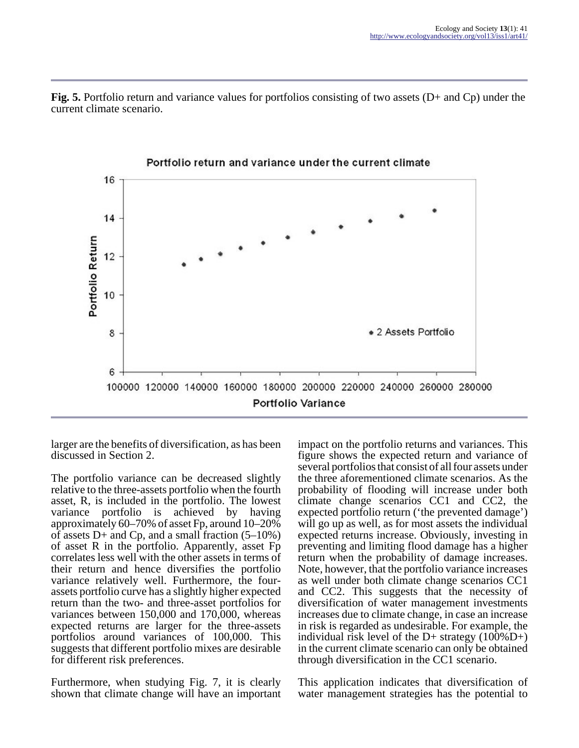**Fig. 5.** Portfolio return and variance values for portfolios consisting of two assets (D+ and Cp) under the current climate scenario.



Portfolio return and variance under the current climate

larger are the benefits of diversification, as has been discussed in Section 2.

The portfolio variance can be decreased slightly relative to the three-assets portfolio when the fourth asset, R, is included in the portfolio. The lowest variance portfolio is achieved by having approximately 60–70% of asset Fp, around 10–20% of assets  $D+$  and  $Cp$ , and a small fraction  $(5-10\%)$ of asset R in the portfolio. Apparently, asset Fp correlates less well with the other assets in terms of their return and hence diversifies the portfolio variance relatively well. Furthermore, the fourassets portfolio curve has a slightly higher expected return than the two- and three-asset portfolios for variances between 150,000 and 170,000, whereas expected returns are larger for the three-assets portfolios around variances of 100,000. This suggests that different portfolio mixes are desirable for different risk preferences.

Furthermore, when studying Fig. 7, it is clearly shown that climate change will have an important impact on the portfolio returns and variances. This figure shows the expected return and variance of several portfolios that consist of all four assets under the three aforementioned climate scenarios. As the probability of flooding will increase under both climate change scenarios CC1 and CC2, the expected portfolio return ('the prevented damage') will go up as well, as for most assets the individual expected returns increase. Obviously, investing in preventing and limiting flood damage has a higher return when the probability of damage increases. Note, however, that the portfolio variance increases as well under both climate change scenarios CC1 and CC2. This suggests that the necessity of diversification of water management investments increases due to climate change, in case an increase in risk is regarded as undesirable. For example, the individual risk level of the D+ strategy  $(100\%D+)$ in the current climate scenario can only be obtained through diversification in the CC1 scenario.

This application indicates that diversification of water management strategies has the potential to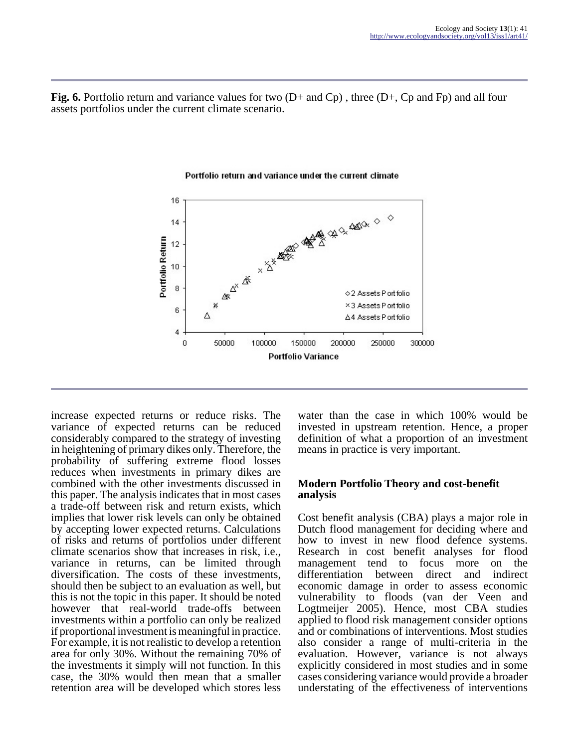**Fig. 6.** Portfolio return and variance values for two (D+ and Cp) , three (D+, Cp and Fp) and all four assets portfolios under the current climate scenario.



#### Portfolio return and variance under the current climate

increase expected returns or reduce risks. The variance of expected returns can be reduced considerably compared to the strategy of investing in heightening of primary dikes only. Therefore, the probability of suffering extreme flood losses reduces when investments in primary dikes are combined with the other investments discussed in this paper. The analysis indicates that in most cases a trade-off between risk and return exists, which implies that lower risk levels can only be obtained by accepting lower expected returns. Calculations of risks and returns of portfolios under different climate scenarios show that increases in risk, i.e., variance in returns, can be limited through diversification. The costs of these investments, should then be subject to an evaluation as well, but this is not the topic in this paper. It should be noted however that real-world trade-offs between investments within a portfolio can only be realized if proportional investment is meaningful in practice. For example, it is not realistic to develop a retention area for only 30%. Without the remaining 70% of the investments it simply will not function. In this case, the 30% would then mean that a smaller retention area will be developed which stores less

water than the case in which 100% would be invested in upstream retention. Hence, a proper definition of what a proportion of an investment means in practice is very important.

#### **Modern Portfolio Theory and cost-benefit analysis**

Cost benefit analysis (CBA) plays a major role in Dutch flood management for deciding where and how to invest in new flood defence systems. Research in cost benefit analyses for flood management tend to focus more on the differentiation between direct and indirect economic damage in order to assess economic vulnerability to floods (van der Veen and Logtmeijer 2005). Hence, most CBA studies applied to flood risk management consider options and or combinations of interventions. Most studies also consider a range of multi-criteria in the evaluation. However, variance is not always explicitly considered in most studies and in some cases considering variance would provide a broader understating of the effectiveness of interventions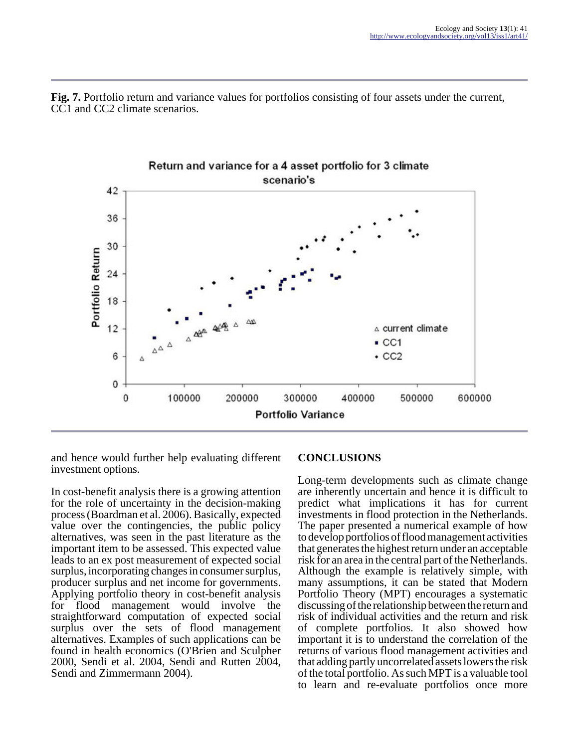

**Fig. 7.** Portfolio return and variance values for portfolios consisting of four assets under the current, CC1 and CC2 climate scenarios.

and hence would further help evaluating different investment options.

In cost-benefit analysis there is a growing attention for the role of uncertainty in the decision-making process (Boardman et al. 2006). Basically, expected value over the contingencies, the public policy alternatives, was seen in the past literature as the important item to be assessed. This expected value leads to an ex post measurement of expected social surplus, incorporating changes in consumer surplus, producer surplus and net income for governments. Applying portfolio theory in cost-benefit analysis for flood management would involve the straightforward computation of expected social surplus over the sets of flood management alternatives. Examples of such applications can be found in health economics (O'Brien and Sculpher 2000, Sendi et al. 2004, Sendi and Rutten 2004, Sendi and Zimmermann 2004).

## **CONCLUSIONS**

Long-term developments such as climate change are inherently uncertain and hence it is difficult to predict what implications it has for current investments in flood protection in the Netherlands. The paper presented a numerical example of how to develop portfolios of flood management activities that generates the highest return under an acceptable risk for an area in the central part of the Netherlands. Although the example is relatively simple, with many assumptions, it can be stated that Modern Portfolio Theory (MPT) encourages a systematic discussing of the relationship between the return and risk of individual activities and the return and risk of complete portfolios. It also showed how important it is to understand the correlation of the returns of various flood management activities and that adding partly uncorrelated assets lowers the risk of the total portfolio. As such MPT is a valuable tool to learn and re-evaluate portfolios once more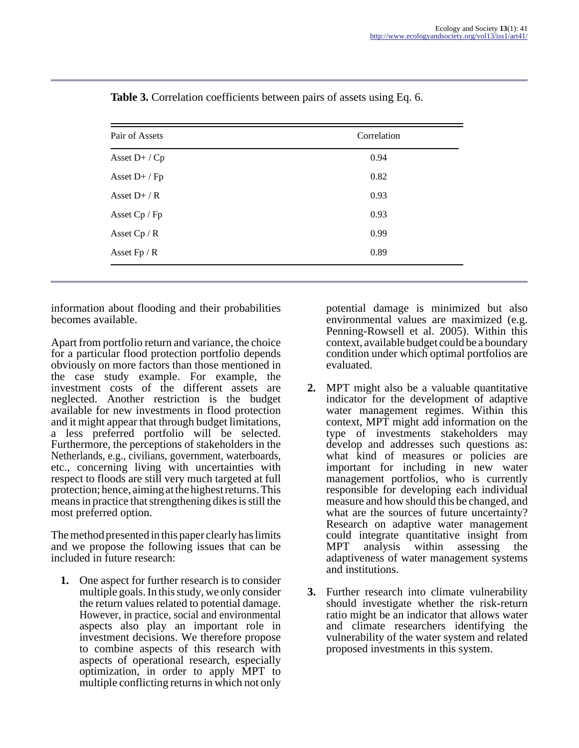| Pair of Assets    | Correlation |  |  |
|-------------------|-------------|--|--|
| Asset $D+$ / $Cp$ | 0.94        |  |  |
| Asset $D+$ / Fp   | 0.82        |  |  |
| Asset $D+ / R$    | 0.93        |  |  |
| Asset Cp / Fp     | 0.93        |  |  |
| Asset $Cp/R$      | 0.99        |  |  |
| Asset $Fp/R$      | 0.89        |  |  |

**Table 3.** Correlation coefficients between pairs of assets using Eq. 6.

information about flooding and their probabilities becomes available.

Apart from portfolio return and variance, the choice for a particular flood protection portfolio depends obviously on more factors than those mentioned in the case study example. For example, the investment costs of the different assets are neglected. Another restriction is the budget available for new investments in flood protection and it might appear that through budget limitations, a less preferred portfolio will be selected. Furthermore, the perceptions of stakeholders in the Netherlands, e.g., civilians, government, waterboards, etc., concerning living with uncertainties with respect to floods are still very much targeted at full protection; hence, aiming at the highest returns. This means in practice that strengthening dikes is still the most preferred option.

The method presented in this paper clearly has limits and we propose the following issues that can be included in future research:

**1.** One aspect for further research is to consider multiple goals. In this study, we only consider the return values related to potential damage. However, in practice, social and environmental aspects also play an important role in investment decisions. We therefore propose to combine aspects of this research with aspects of operational research, especially optimization, in order to apply MPT to multiple conflicting returns in which not only

potential damage is minimized but also environmental values are maximized (e.g. Penning-Rowsell et al. 2005). Within this context, available budget could be a boundary condition under which optimal portfolios are evaluated.

- **2.** MPT might also be a valuable quantitative indicator for the development of adaptive water management regimes. Within this context, MPT might add information on the type of investments stakeholders may develop and addresses such questions as: what kind of measures or policies are important for including in new water management portfolios, who is currently responsible for developing each individual measure and how should this be changed, and what are the sources of future uncertainty? Research on adaptive water management could integrate quantitative insight from MPT analysis within assessing the adaptiveness of water management systems and institutions.
- **3.** Further research into climate vulnerability should investigate whether the risk-return ratio might be an indicator that allows water and climate researchers identifying the vulnerability of the water system and related proposed investments in this system.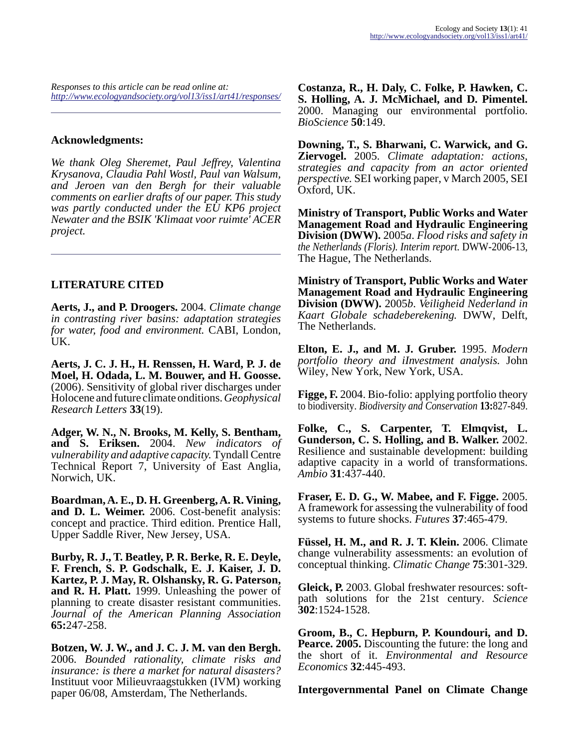*Responses to this article can be read online at: <http://www.ecologyandsociety.org/vol13/iss1/art41/responses/>*

#### **Acknowledgments:**

*We thank Oleg Sheremet, Paul Jeffrey, Valentina Krysanova, Claudia Pahl Wostl, Paul van Walsum, and Jeroen van den Bergh for their valuable comments on earlier drafts of our paper. This study was partly conducted under the EU KP6 project Newater and the BSIK 'Klimaat voor ruimte' ACER project.* 

## **LITERATURE CITED**

**Aerts, J., and P. Droogers.** 2004. *Climate change in contrasting river basins: adaptation strategies for water, food and environment.* CABI, London, UK.

**Aerts, J. C. J. H., H. Renssen, H. Ward, P. J. de Moel, H. Odada, L. M. Bouwer, and H. Goosse.** (2006). Sensitivity of global river discharges under Holocene and future climate onditions. *Geophysical Research Letters* **33**(19).

**Adger, W. N., N. Brooks, M. Kelly, S. Bentham, and S. Eriksen.** 2004. *New indicators of vulnerability and adaptive capacity.* Tyndall Centre Technical Report 7, University of East Anglia, Norwich, UK.

**Boardman, A. E., D. H. Greenberg, A. R. Vining, and D. L. Weimer.** 2006. Cost-benefit analysis: concept and practice. Third edition. Prentice Hall, Upper Saddle River, New Jersey, USA.

**Burby, R. J., T. Beatley, P. R. Berke, R. E. Deyle, F. French, S. P. Godschalk, E. J. Kaiser, J. D. Kartez, P. J. May, R. Olshansky, R. G. Paterson, and R. H. Platt.** 1999. Unleashing the power of planning to create disaster resistant communities. *Journal of the American Planning Association* **65:**247-258.

**Botzen, W. J. W., and J. C. J. M. van den Bergh.** 2006. *Bounded rationality, climate risks and insurance: is there a market for natural disasters?* Instituut voor Milieuvraagstukken (IVM) working paper 06/08, Amsterdam, The Netherlands.

**Costanza, R., H. Daly, C. Folke, P. Hawken, C. S. Holling, A. J. McMichael, and D. Pimentel.** 2000. Managing our environmental portfolio. *BioScience* **50**:149.

**Downing, T., S. Bharwani, C. Warwick, and G. Ziervogel.** 2005. *Climate adaptation: actions, strategies and capacity from an actor oriented perspective.* SEI working paper, v March 2005, SEI Oxford, UK.

**Ministry of Transport, Public Works and Water Management Road and Hydraulic Engineering Division (DWW).** 2005*a*. *Flood risks and safety in the Netherlands (Floris). Interim report.* DWW-2006-13, The Hague, The Netherlands.

**Ministry of Transport, Public Works and Water Management Road and Hydraulic Engineering Division (DWW).** 2005*b*. *Veiligheid Nederland in Kaart Globale schadeberekening.* DWW, Delft, The Netherlands.

**Elton, E. J., and M. J. Gruber.** 1995. *Modern portfolio theory and iInvestment analysis.* John Wiley, New York, New York, USA.

**Figge, F.** 2004. Bio-folio: applying portfolio theory to biodiversity. *Biodiversity and Conservation* **13:**827-849.

**Folke, C., S. Carpenter, T. Elmqvist, L. Gunderson, C. S. Holling, and B. Walker.** 2002. Resilience and sustainable development: building adaptive capacity in a world of transformations. *Ambio* **31**:437-440.

**Fraser, E. D. G., W. Mabee, and F. Figge.** 2005. A framework for assessing the vulnerability of food systems to future shocks. *Futures* **37**:465-479.

**Füssel, H. M., and R. J. T. Klein.** 2006. Climate change vulnerability assessments: an evolution of conceptual thinking. *Climatic Change* **75**:301-329.

**Gleick, P.** 2003. Global freshwater resources: softpath solutions for the 21st century. *Science* **302**:1524-1528.

**Groom, B., C. Hepburn, P. Koundouri, and D. Pearce. 2005.** Discounting the future: the long and the short of it. *Environmental and Resource Economics* **32**:445-493.

**Intergovernmental Panel on Climate Change**